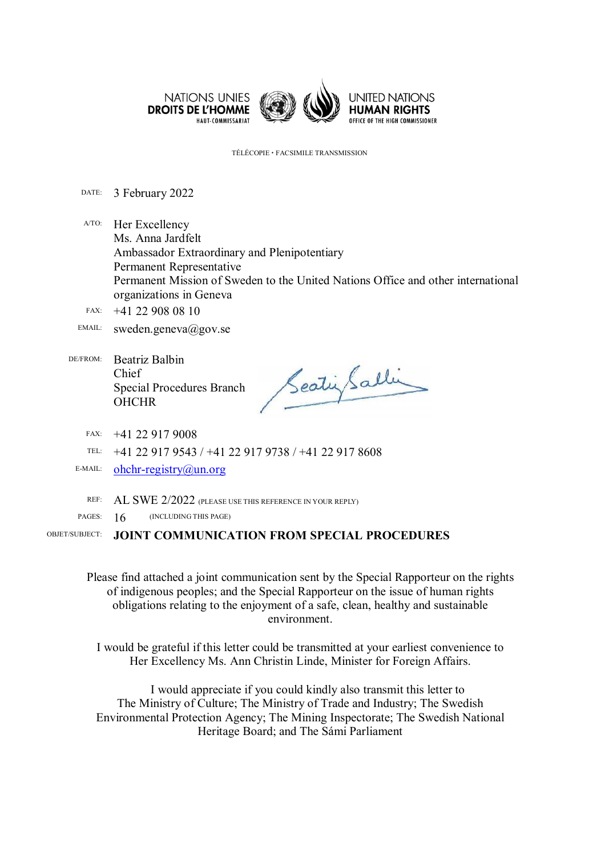

TÉLÉCOPIE FACSIMILE TRANSMISSION

DATE: 3 February 2022

A/TO: Her Excellency Ms. Anna Jardfelt Ambassador Extraordinary and Plenipotentiary Permanent Representative Permanent Mission of Sweden to the United Nations Office and other international organizations in Geneva

- FAX: +41 22 908 08 10
- EMAIL: sweden.geneva@gov.se
- DE/FROM: Beatriz Balbin Chief Special Procedures Branch **OHCHR**

SeatinGalli

FAX: +41 22 917 9008

TEL: +41 22 917 9543 / +41 22 917 9738 / +41 22 917 8608

E-MAIL: ohchr-registry@un.org

REF: AL SWE 2/2022 (PLEASE USE THIS REFERENCE IN YOUR REPLY)

PAGES: 16 (INCLUDING THIS PAGE)

OBJET/SUBJECT: **JOINT COMMUNICATION FROM SPECIAL PROCEDURES** 

Please find attached a joint communication sent by the Special Rapporteur on the rights of indigenous peoples; and the Special Rapporteur on the issue of human rights obligations relating to the enjoyment of a safe, clean, healthy and sustainable environment.

I would be grateful if this letter could be transmitted at your earliest convenience to Her Excellency Ms. Ann Christin Linde, Minister for Foreign Affairs.

I would appreciate if you could kindly also transmit this letter to The Ministry of Culture; The Ministry of Trade and Industry; The Swedish Environmental Protection Agency; The Mining Inspectorate; The Swedish National Heritage Board; and The Sámi Parliament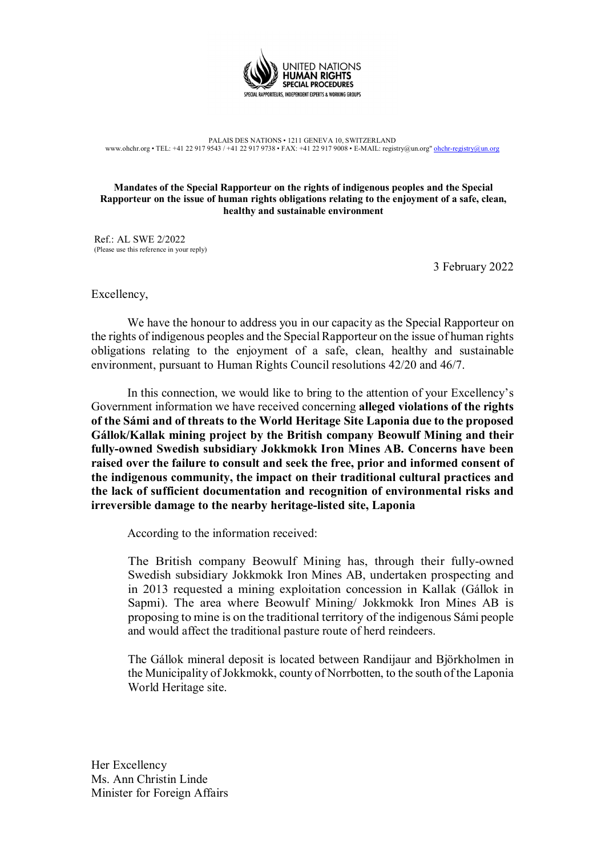

PALAIS DES NATIONS • 1211 GENEVA 10, SWITZERLAND www.ohchr.org • TEL: +41 22 917 9543 / +41 22 917 9738 • FAX: +41 22 917 9008 • E-MAIL: registry@un.org" ohchr-registry@un

## **Mandates of the Special Rapporteur on the rights of indigenous peoples and the Special Rapporteur on the issue of human rights obligations relating to the enjoyment of a safe, clean, healthy and sustainable environment**

Ref.: AL SWE 2/2022 (Please use this reference in your reply)

3 February 2022

Excellency,

We have the honour to address you in our capacity as the Special Rapporteur on the rights of indigenous peoples and the Special Rapporteur on the issue of human rights obligations relating to the enjoyment of a safe, clean, healthy and sustainable environment, pursuant to Human Rights Council resolutions 42/20 and 46/7.

In this connection, we would like to bring to the attention of your Excellency's Government information we have received concerning **alleged violations of the rights of the Sámi and of threats to the World Heritage Site Laponia due to the proposed Gállok/Kallak mining project by the British company Beowulf Mining and their fully-owned Swedish subsidiary Jokkmokk Iron Mines AB. Concerns have been raised over the failure to consult and seek the free, prior and informed consent of the indigenous community, the impact on their traditional cultural practices and the lack of sufficient documentation and recognition of environmental risks and irreversible damage to the nearby heritage-listed site, Laponia** 

According to the information received:

The British company Beowulf Mining has, through their fully-owned Swedish subsidiary Jokkmokk Iron Mines AB, undertaken prospecting and in 2013 requested a mining exploitation concession in Kallak (Gállok in Sapmi). The area where Beowulf Mining/ Jokkmokk Iron Mines AB is proposing to mine is on the traditional territory of the indigenous Sámi people and would affect the traditional pasture route of herd reindeers.

The Gállok mineral deposit is located between Randijaur and Björkholmen in the Municipality of Jokkmokk, county of Norrbotten, to the south of the Laponia World Heritage site.

Her Excellency Ms. Ann Christin Linde Minister for Foreign Affairs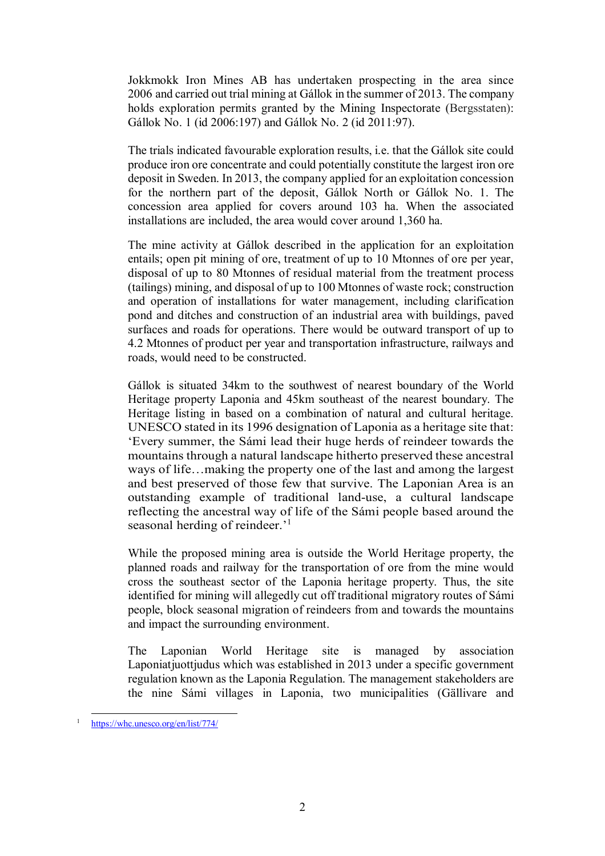Jokkmokk Iron Mines AB has undertaken prospecting in the area since 2006 and carried out trial mining at Gállok in the summer of 2013. The company holds exploration permits granted by the Mining Inspectorate (Bergsstaten): Gállok No. 1 (id 2006:197) and Gállok No. 2 (id 2011:97).

The trials indicated favourable exploration results, i.e. that the Gállok site could produce iron ore concentrate and could potentially constitute the largest iron ore deposit in Sweden. In 2013, the company applied for an exploitation concession for the northern part of the deposit, Gállok North or Gállok No. 1. The concession area applied for covers around 103 ha. When the associated installations are included, the area would cover around 1,360 ha.

The mine activity at Gállok described in the application for an exploitation entails; open pit mining of ore, treatment of up to 10 Mtonnes of ore per year, disposal of up to 80 Mtonnes of residual material from the treatment process (tailings) mining, and disposal of up to 100 Mtonnes of waste rock; construction and operation of installations for water management, including clarification pond and ditches and construction of an industrial area with buildings, paved surfaces and roads for operations. There would be outward transport of up to 4.2 Mtonnes of product per year and transportation infrastructure, railways and roads, would need to be constructed.

Gállok is situated 34km to the southwest of nearest boundary of the World Heritage property Laponia and 45km southeast of the nearest boundary. The Heritage listing in based on a combination of natural and cultural heritage. UNESCO stated in its 1996 designation of Laponia as a heritage site that: 'Every summer, the Sámi lead their huge herds of reindeer towards the mountains through a natural landscape hitherto preserved these ancestral ways of life…making the property one of the last and among the largest and best preserved of those few that survive. The Laponian Area is an outstanding example of traditional land-use, a cultural landscape reflecting the ancestral way of life of the Sámi people based around the seasonal herding of reindeer.'<sup>1</sup>

While the proposed mining area is outside the World Heritage property, the planned roads and railway for the transportation of ore from the mine would cross the southeast sector of the Laponia heritage property. Thus, the site identified for mining will allegedly cut off traditional migratory routes of Sámi people, block seasonal migration of reindeers from and towards the mountains and impact the surrounding environment.

The Laponian World Heritage site is managed by association Laponiatiuottiudus which was established in 2013 under a specific government regulation known as the Laponia Regulation. The management stakeholders are the nine Sámi villages in Laponia, two municipalities (Gällivare and

<sup>-</sup>1 https://whc.unesco.org/en/list/774/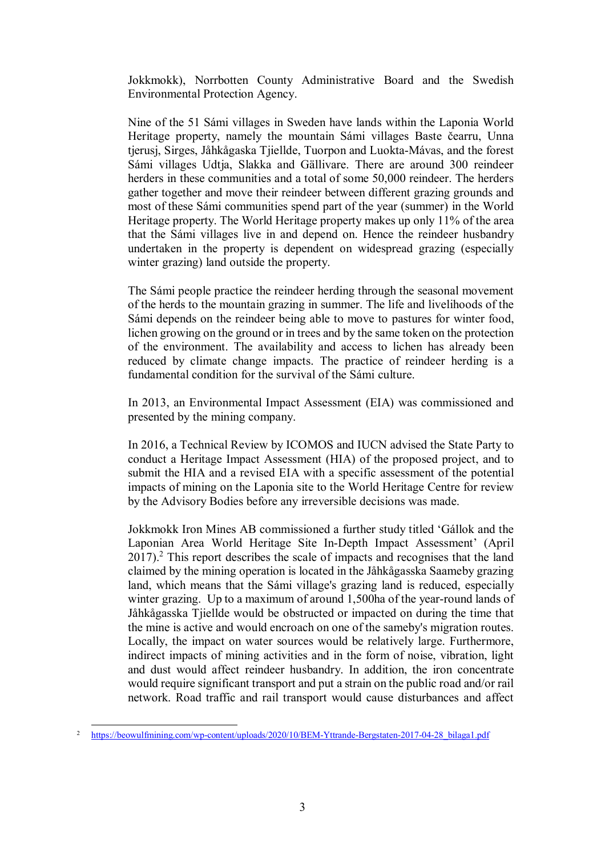Jokkmokk), Norrbotten County Administrative Board and the Swedish Environmental Protection Agency.

Nine of the 51 Sámi villages in Sweden have lands within the Laponia World Heritage property, namely the mountain Sámi villages Baste čearru, Unna tjerusj, Sirges, Jåhkågaska Tjiellde, Tuorpon and Luokta-Mávas, and the forest Sámi villages Udtja, Slakka and Gällivare. There are around 300 reindeer herders in these communities and a total of some 50,000 reindeer. The herders gather together and move their reindeer between different grazing grounds and most of these Sámi communities spend part of the year (summer) in the World Heritage property. The World Heritage property makes up only 11% of the area that the Sámi villages live in and depend on. Hence the reindeer husbandry undertaken in the property is dependent on widespread grazing (especially winter grazing) land outside the property.

The Sámi people practice the reindeer herding through the seasonal movement of the herds to the mountain grazing in summer. The life and livelihoods of the Sámi depends on the reindeer being able to move to pastures for winter food, lichen growing on the ground or in trees and by the same token on the protection of the environment. The availability and access to lichen has already been reduced by climate change impacts. The practice of reindeer herding is a fundamental condition for the survival of the Sámi culture.

In 2013, an Environmental Impact Assessment (EIA) was commissioned and presented by the mining company.

In 2016, a Technical Review by ICOMOS and IUCN advised the State Party to conduct a Heritage Impact Assessment (HIA) of the proposed project, and to submit the HIA and a revised EIA with a specific assessment of the potential impacts of mining on the Laponia site to the World Heritage Centre for review by the Advisory Bodies before any irreversible decisions was made.

Jokkmokk Iron Mines AB commissioned a further study titled 'Gállok and the Laponian Area World Heritage Site In-Depth Impact Assessment' (April  $2017$ ).<sup>2</sup> This report describes the scale of impacts and recognises that the land claimed by the mining operation is located in the Jåhkågasska Saameby grazing land, which means that the Sámi village's grazing land is reduced, especially winter grazing. Up to a maximum of around 1,500ha of the year-round lands of Jåhkågasska Tjiellde would be obstructed or impacted on during the time that the mine is active and would encroach on one of the sameby's migration routes. Locally, the impact on water sources would be relatively large. Furthermore, indirect impacts of mining activities and in the form of noise, vibration, light and dust would affect reindeer husbandry. In addition, the iron concentrate would require significant transport and put a strain on the public road and/or rail network. Road traffic and rail transport would cause disturbances and affect

<sup>-</sup>2 https://beowulfmining.com/wp-content/uploads/2020/10/BEM-Yttrande-Bergstaten-2017-04-28\_bilaga1.pdf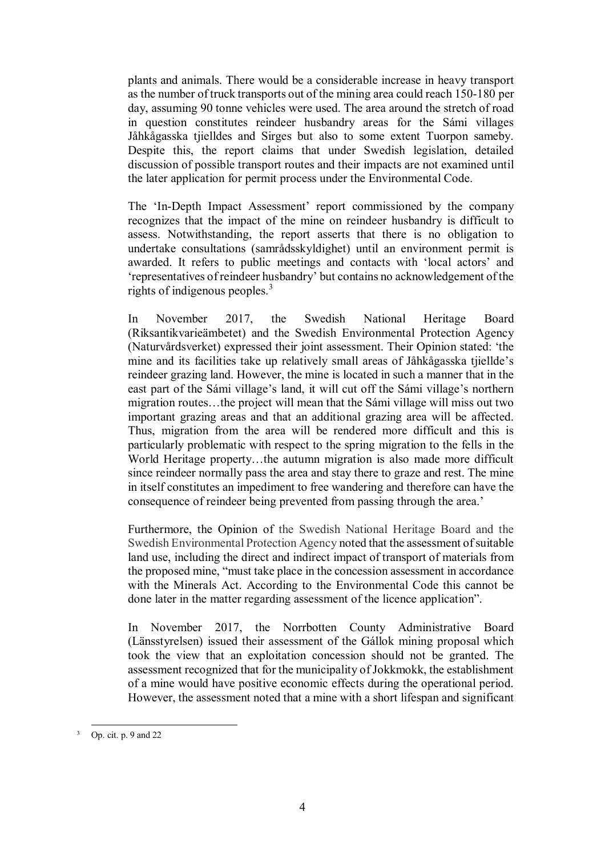plants and animals. There would be a considerable increase in heavy transport as the number of truck transports out of the mining area could reach 150-180 per day, assuming 90 tonne vehicles were used. The area around the stretch of road in question constitutes reindeer husbandry areas for the Sámi villages Jåhkågasska tjielldes and Sirges but also to some extent Tuorpon sameby. Despite this, the report claims that under Swedish legislation, detailed discussion of possible transport routes and their impacts are not examined until the later application for permit process under the Environmental Code.

The 'In-Depth Impact Assessment' report commissioned by the company recognizes that the impact of the mine on reindeer husbandry is difficult to assess. Notwithstanding, the report asserts that there is no obligation to undertake consultations (samrådsskyldighet) until an environment permit is awarded. It refers to public meetings and contacts with 'local actors' and 'representatives of reindeer husbandry' but contains no acknowledgement of the rights of indigenous peoples.<sup>3</sup>

In November 2017, the Swedish National Heritage Board (Riksantikvarieämbetet) and the Swedish Environmental Protection Agency (Naturvårdsverket) expressed their joint assessment. Their Opinion stated: 'the mine and its facilities take up relatively small areas of Jåhkågasska tjiellde's reindeer grazing land. However, the mine is located in such a manner that in the east part of the Sámi village's land, it will cut off the Sámi village's northern migration routes…the project will mean that the Sámi village will miss out two important grazing areas and that an additional grazing area will be affected. Thus, migration from the area will be rendered more difficult and this is particularly problematic with respect to the spring migration to the fells in the World Heritage property…the autumn migration is also made more difficult since reindeer normally pass the area and stay there to graze and rest. The mine in itself constitutes an impediment to free wandering and therefore can have the consequence of reindeer being prevented from passing through the area.'

Furthermore, the Opinion of the Swedish National Heritage Board and the Swedish Environmental Protection Agency noted that the assessment of suitable land use, including the direct and indirect impact of transport of materials from the proposed mine, "must take place in the concession assessment in accordance with the Minerals Act. According to the Environmental Code this cannot be done later in the matter regarding assessment of the licence application".

In November 2017, the Norrbotten County Administrative Board (Länsstyrelsen) issued their assessment of the Gállok mining proposal which took the view that an exploitation concession should not be granted. The assessment recognized that for the municipality of Jokkmokk, the establishment of a mine would have positive economic effects during the operational period. However, the assessment noted that a mine with a short lifespan and significant

<sup>-</sup>3 Op. cit. p. 9 and 22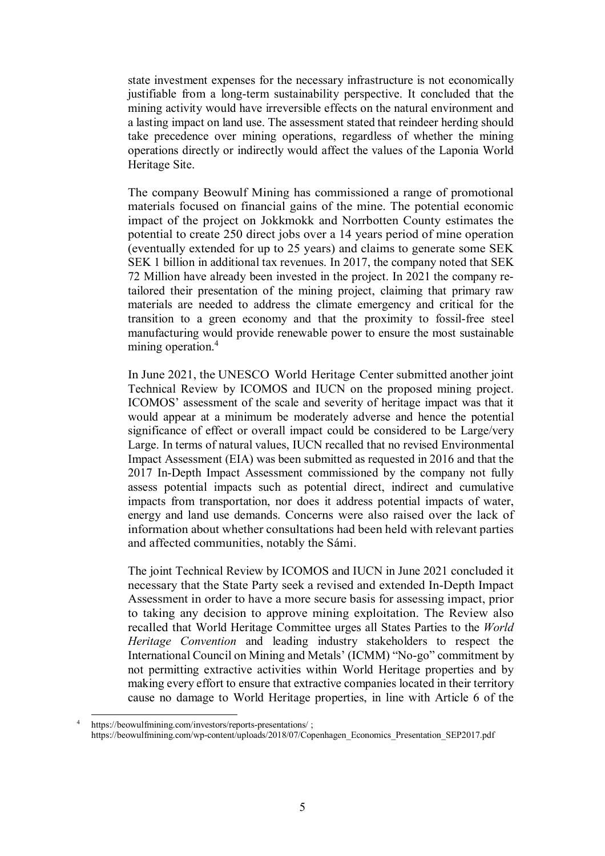state investment expenses for the necessary infrastructure is not economically justifiable from a long-term sustainability perspective. It concluded that the mining activity would have irreversible effects on the natural environment and a lasting impact on land use. The assessment stated that reindeer herding should take precedence over mining operations, regardless of whether the mining operations directly or indirectly would affect the values of the Laponia World Heritage Site.

The company Beowulf Mining has commissioned a range of promotional materials focused on financial gains of the mine. The potential economic impact of the project on Jokkmokk and Norrbotten County estimates the potential to create 250 direct jobs over a 14 years period of mine operation (eventually extended for up to 25 years) and claims to generate some SEK SEK 1 billion in additional tax revenues. In 2017, the company noted that SEK 72 Million have already been invested in the project. In 2021 the company retailored their presentation of the mining project, claiming that primary raw materials are needed to address the climate emergency and critical for the transition to a green economy and that the proximity to fossil-free steel manufacturing would provide renewable power to ensure the most sustainable mining operation.<sup>4</sup>

In June 2021, the UNESCO World Heritage Center submitted another joint Technical Review by ICOMOS and IUCN on the proposed mining project. ICOMOS' assessment of the scale and severity of heritage impact was that it would appear at a minimum be moderately adverse and hence the potential significance of effect or overall impact could be considered to be Large/very Large. In terms of natural values, IUCN recalled that no revised Environmental Impact Assessment (EIA) was been submitted as requested in 2016 and that the 2017 In-Depth Impact Assessment commissioned by the company not fully assess potential impacts such as potential direct, indirect and cumulative impacts from transportation, nor does it address potential impacts of water, energy and land use demands. Concerns were also raised over the lack of information about whether consultations had been held with relevant parties and affected communities, notably the Sámi.

The joint Technical Review by ICOMOS and IUCN in June 2021 concluded it necessary that the State Party seek a revised and extended In-Depth Impact Assessment in order to have a more secure basis for assessing impact, prior to taking any decision to approve mining exploitation. The Review also recalled that World Heritage Committee urges all States Parties to the *World Heritage Convention* and leading industry stakeholders to respect the International Council on Mining and Metals' (ICMM) "No-go" commitment by not permitting extractive activities within World Heritage properties and by making every effort to ensure that extractive companies located in their territory cause no damage to World Heritage properties, in line with Article 6 of the

-

<sup>4</sup> https://beowulfmining.com/investors/reports-presentations/ ; https://beowulfmining.com/wp-content/uploads/2018/07/Copenhagen\_Economics\_Presentation\_SEP2017.pdf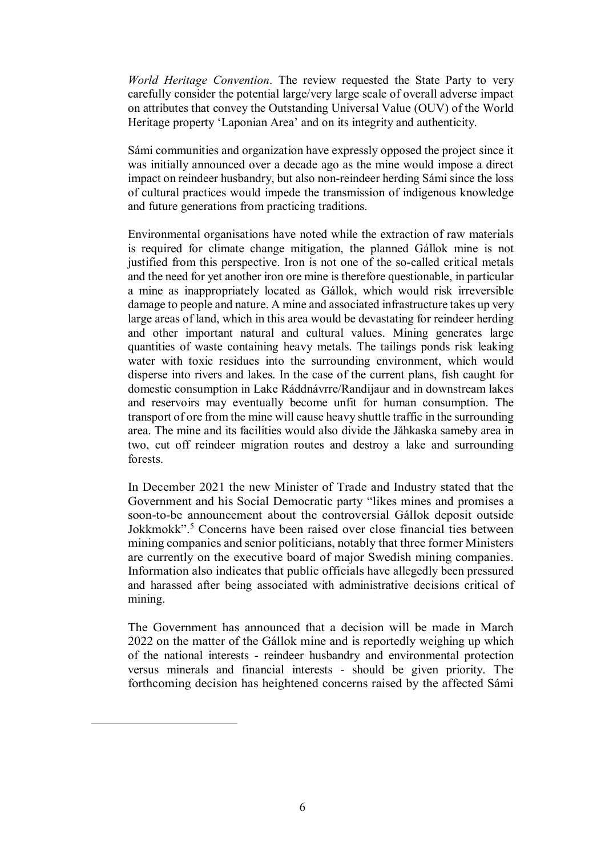*World Heritage Convention*. The review requested the State Party to very carefully consider the potential large/very large scale of overall adverse impact on attributes that convey the Outstanding Universal Value (OUV) of the World Heritage property 'Laponian Area' and on its integrity and authenticity.

Sámi communities and organization have expressly opposed the project since it was initially announced over a decade ago as the mine would impose a direct impact on reindeer husbandry, but also non-reindeer herding Sámi since the loss of cultural practices would impede the transmission of indigenous knowledge and future generations from practicing traditions.

Environmental organisations have noted while the extraction of raw materials is required for climate change mitigation, the planned Gállok mine is not justified from this perspective. Iron is not one of the so-called critical metals and the need for yet another iron ore mine is therefore questionable, in particular a mine as inappropriately located as Gállok, which would risk irreversible damage to people and nature. A mine and associated infrastructure takes up very large areas of land, which in this area would be devastating for reindeer herding and other important natural and cultural values. Mining generates large quantities of waste containing heavy metals. The tailings ponds risk leaking water with toxic residues into the surrounding environment, which would disperse into rivers and lakes. In the case of the current plans, fish caught for domestic consumption in Lake Ráddnávrre/Randijaur and in downstream lakes and reservoirs may eventually become unfit for human consumption. The transport of ore from the mine will cause heavy shuttle traffic in the surrounding area. The mine and its facilities would also divide the Jåhkaska sameby area in two, cut off reindeer migration routes and destroy a lake and surrounding forests.

In December 2021 the new Minister of Trade and Industry stated that the Government and his Social Democratic party "likes mines and promises a soon-to-be announcement about the controversial Gállok deposit outside Jokkmokk".<sup>5</sup> Concerns have been raised over close financial ties between mining companies and senior politicians, notably that three former Ministers are currently on the executive board of major Swedish mining companies. Information also indicates that public officials have allegedly been pressured and harassed after being associated with administrative decisions critical of mining.

The Government has announced that a decision will be made in March 2022 on the matter of the Gállok mine and is reportedly weighing up which of the national interests - reindeer husbandry and environmental protection versus minerals and financial interests - should be given priority. The forthcoming decision has heightened concerns raised by the affected Sámi

-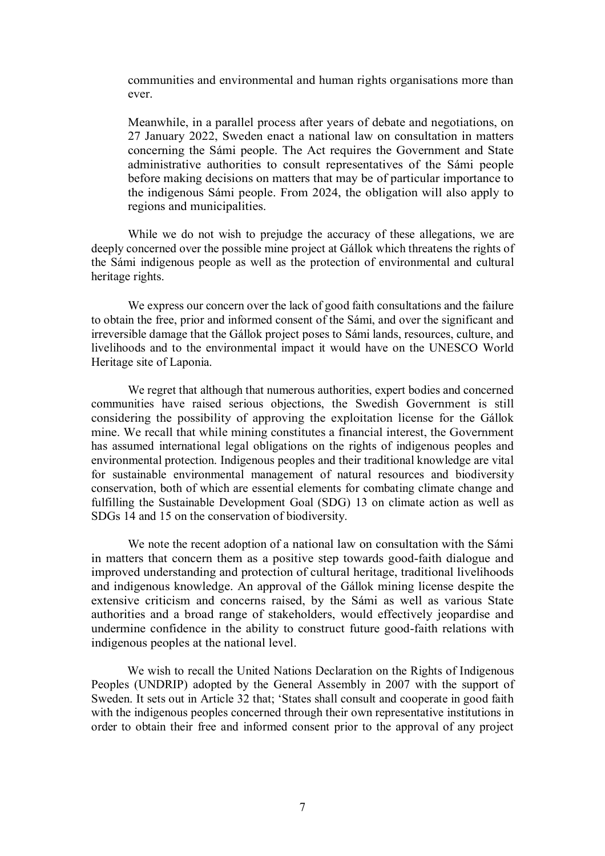communities and environmental and human rights organisations more than ever.

Meanwhile, in a parallel process after years of debate and negotiations, on 27 January 2022, Sweden enact a national law on consultation in matters concerning the Sámi people. The Act requires the Government and State administrative authorities to consult representatives of the Sámi people before making decisions on matters that may be of particular importance to the indigenous Sámi people. From 2024, the obligation will also apply to regions and municipalities.

While we do not wish to prejudge the accuracy of these allegations, we are deeply concerned over the possible mine project at Gállok which threatens the rights of the Sámi indigenous people as well as the protection of environmental and cultural heritage rights.

We express our concern over the lack of good faith consultations and the failure to obtain the free, prior and informed consent of the Sámi, and over the significant and irreversible damage that the Gállok project poses to Sámi lands, resources, culture, and livelihoods and to the environmental impact it would have on the UNESCO World Heritage site of Laponia.

We regret that although that numerous authorities, expert bodies and concerned communities have raised serious objections, the Swedish Government is still considering the possibility of approving the exploitation license for the Gállok mine. We recall that while mining constitutes a financial interest, the Government has assumed international legal obligations on the rights of indigenous peoples and environmental protection. Indigenous peoples and their traditional knowledge are vital for sustainable environmental management of natural resources and biodiversity conservation, both of which are essential elements for combating climate change and fulfilling the Sustainable Development Goal (SDG) 13 on climate action as well as SDGs 14 and 15 on the conservation of biodiversity.

We note the recent adoption of a national law on consultation with the Sámi in matters that concern them as a positive step towards good-faith dialogue and improved understanding and protection of cultural heritage, traditional livelihoods and indigenous knowledge. An approval of the Gállok mining license despite the extensive criticism and concerns raised, by the Sámi as well as various State authorities and a broad range of stakeholders, would effectively jeopardise and undermine confidence in the ability to construct future good-faith relations with indigenous peoples at the national level.

We wish to recall the United Nations Declaration on the Rights of Indigenous Peoples (UNDRIP) adopted by the General Assembly in 2007 with the support of Sweden. It sets out in Article 32 that; 'States shall consult and cooperate in good faith with the indigenous peoples concerned through their own representative institutions in order to obtain their free and informed consent prior to the approval of any project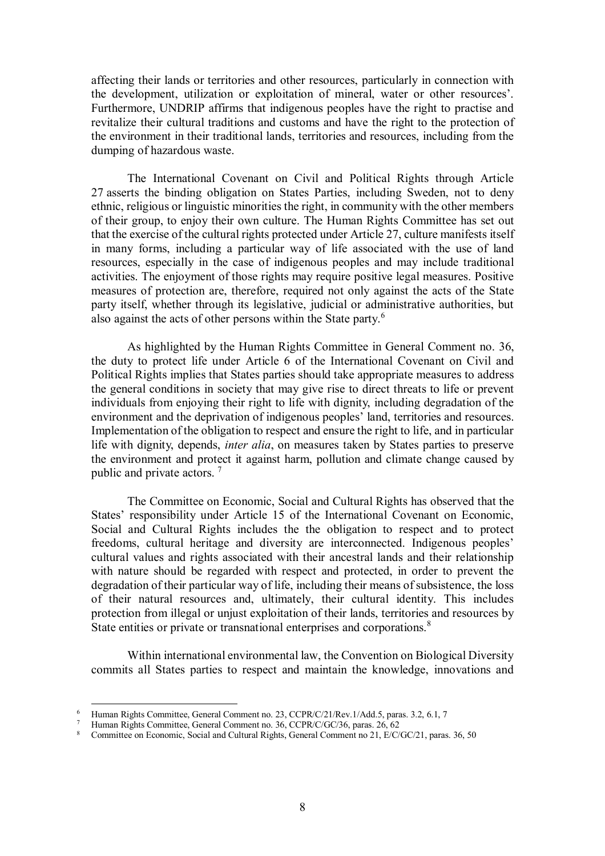affecting their lands or territories and other resources, particularly in connection with the development, utilization or exploitation of mineral, water or other resources'. Furthermore, UNDRIP affirms that indigenous peoples have the right to practise and revitalize their cultural traditions and customs and have the right to the protection of the environment in their traditional lands, territories and resources, including from the dumping of hazardous waste.

The International Covenant on Civil and Political Rights through Article 27 asserts the binding obligation on States Parties, including Sweden, not to deny ethnic, religious or linguistic minorities the right, in community with the other members of their group, to enjoy their own culture. The Human Rights Committee has set out that the exercise of the cultural rights protected under Article 27, culture manifests itself in many forms, including a particular way of life associated with the use of land resources, especially in the case of indigenous peoples and may include traditional activities. The enjoyment of those rights may require positive legal measures. Positive measures of protection are, therefore, required not only against the acts of the State party itself, whether through its legislative, judicial or administrative authorities, but also against the acts of other persons within the State party.<sup>6</sup>

As highlighted by the Human Rights Committee in General Comment no. 36, the duty to protect life under Article 6 of the International Covenant on Civil and Political Rights implies that States parties should take appropriate measures to address the general conditions in society that may give rise to direct threats to life or prevent individuals from enjoying their right to life with dignity, including degradation of the environment and the deprivation of indigenous peoples' land, territories and resources. Implementation of the obligation to respect and ensure the right to life, and in particular life with dignity, depends, *inter alia*, on measures taken by States parties to preserve the environment and protect it against harm, pollution and climate change caused by public and private actors. <sup>7</sup>

The Committee on Economic, Social and Cultural Rights has observed that the States' responsibility under Article 15 of the International Covenant on Economic, Social and Cultural Rights includes the the obligation to respect and to protect freedoms, cultural heritage and diversity are interconnected. Indigenous peoples' cultural values and rights associated with their ancestral lands and their relationship with nature should be regarded with respect and protected, in order to prevent the degradation of their particular way of life, including their means of subsistence, the loss of their natural resources and, ultimately, their cultural identity. This includes protection from illegal or unjust exploitation of their lands, territories and resources by State entities or private or transnational enterprises and corporations.<sup>8</sup>

Within international environmental law, the Convention on Biological Diversity commits all States parties to respect and maintain the knowledge, innovations and

<sup>-</sup>6 Human Rights Committee, General Comment no. 23, CCPR/C/21/Rev.1/Add.5, paras. 3.2, 6.1, 7

<sup>7</sup> Human Rights Committee, General Comment no. 36, CCPR/C/GC/36, paras. 26, 62

<sup>8</sup> Committee on Economic, Social and Cultural Rights, General Comment no 21, E/C/GC/21, paras. 36, 50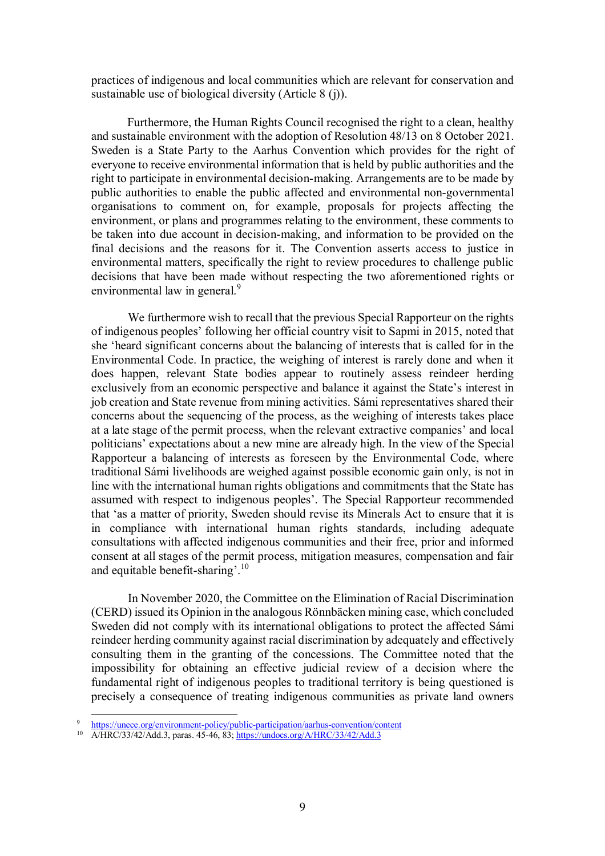practices of indigenous and local communities which are relevant for conservation and sustainable use of biological diversity (Article 8 (j)).

Furthermore, the Human Rights Council recognised the right to a clean, healthy and sustainable environment with the adoption of Resolution 48/13 on 8 October 2021. Sweden is a State Party to the Aarhus Convention which provides for the right of everyone to receive environmental information that is held by public authorities and the right to participate in environmental decision-making. Arrangements are to be made by public authorities to enable the public affected and environmental non-governmental organisations to comment on, for example, proposals for projects affecting the environment, or plans and programmes relating to the environment, these comments to be taken into due account in decision-making, and information to be provided on the final decisions and the reasons for it. The Convention asserts access to justice in environmental matters, specifically the right to review procedures to challenge public decisions that have been made without respecting the two aforementioned rights or environmental law in general.<sup>9</sup>

We furthermore wish to recall that the previous Special Rapporteur on the rights of indigenous peoples' following her official country visit to Sapmi in 2015, noted that she 'heard significant concerns about the balancing of interests that is called for in the Environmental Code. In practice, the weighing of interest is rarely done and when it does happen, relevant State bodies appear to routinely assess reindeer herding exclusively from an economic perspective and balance it against the State's interest in job creation and State revenue from mining activities. Sámi representatives shared their concerns about the sequencing of the process, as the weighing of interests takes place at a late stage of the permit process, when the relevant extractive companies' and local politicians' expectations about a new mine are already high. In the view of the Special Rapporteur a balancing of interests as foreseen by the Environmental Code, where traditional Sámi livelihoods are weighed against possible economic gain only, is not in line with the international human rights obligations and commitments that the State has assumed with respect to indigenous peoples'. The Special Rapporteur recommended that 'as a matter of priority, Sweden should revise its Minerals Act to ensure that it is in compliance with international human rights standards, including adequate consultations with affected indigenous communities and their free, prior and informed consent at all stages of the permit process, mitigation measures, compensation and fair and equitable benefit-sharing'.<sup>10</sup>

In November 2020, the Committee on the Elimination of Racial Discrimination (CERD) issued its Opinion in the analogous Rönnbäcken mining case, which concluded Sweden did not comply with its international obligations to protect the affected Sámi reindeer herding community against racial discrimination by adequately and effectively consulting them in the granting of the concessions. The Committee noted that the impossibility for obtaining an effective judicial review of a decision where the fundamental right of indigenous peoples to traditional territory is being questioned is precisely a consequence of treating indigenous communities as private land owners

-

<sup>9</sup> https://unece.org/environment-policy/public-participation/aarhus-convention/content

<sup>10</sup> A/HRC/33/42/Add.3, paras. 45-46, 83; https://undocs.org/A/HRC/33/42/Add.3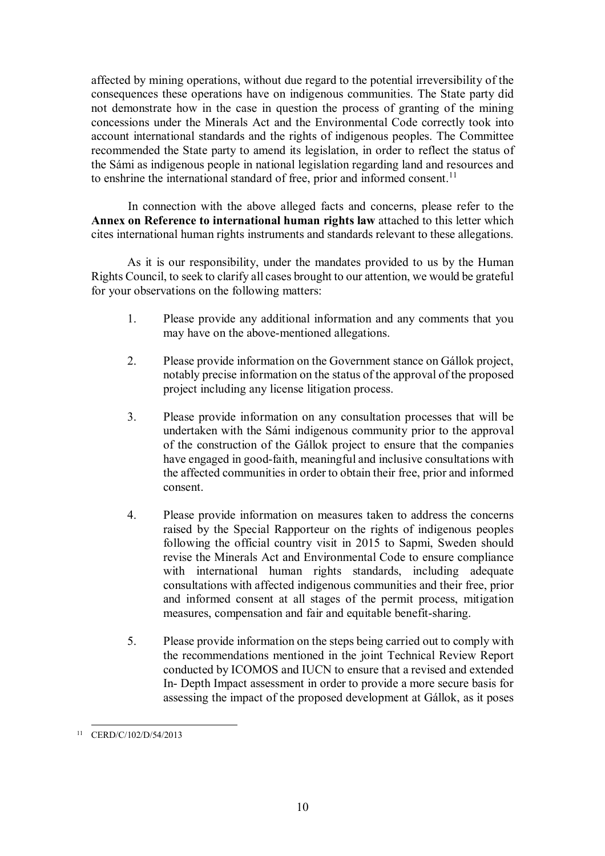affected by mining operations, without due regard to the potential irreversibility of the consequences these operations have on indigenous communities. The State party did not demonstrate how in the case in question the process of granting of the mining concessions under the Minerals Act and the Environmental Code correctly took into account international standards and the rights of indigenous peoples. The Committee recommended the State party to amend its legislation, in order to reflect the status of the Sámi as indigenous people in national legislation regarding land and resources and to enshrine the international standard of free, prior and informed consent.<sup>11</sup>

In connection with the above alleged facts and concerns, please refer to the **Annex on Reference to international human rights law** attached to this letter which cites international human rights instruments and standards relevant to these allegations.

As it is our responsibility, under the mandates provided to us by the Human Rights Council, to seek to clarify all cases brought to our attention, we would be grateful for your observations on the following matters:

- 1. Please provide any additional information and any comments that you may have on the above-mentioned allegations.
- 2. Please provide information on the Government stance on Gállok project, notably precise information on the status of the approval of the proposed project including any license litigation process.
- 3. Please provide information on any consultation processes that will be undertaken with the Sámi indigenous community prior to the approval of the construction of the Gállok project to ensure that the companies have engaged in good-faith, meaningful and inclusive consultations with the affected communities in order to obtain their free, prior and informed consent.
- 4. Please provide information on measures taken to address the concerns raised by the Special Rapporteur on the rights of indigenous peoples following the official country visit in 2015 to Sapmi, Sweden should revise the Minerals Act and Environmental Code to ensure compliance with international human rights standards, including adequate consultations with affected indigenous communities and their free, prior and informed consent at all stages of the permit process, mitigation measures, compensation and fair and equitable benefit-sharing.
- 5. Please provide information on the steps being carried out to comply with the recommendations mentioned in the joint Technical Review Report conducted by ICOMOS and IUCN to ensure that a revised and extended In- Depth Impact assessment in order to provide a more secure basis for assessing the impact of the proposed development at Gállok, as it poses

<sup>-</sup>11 CERD/C/102/D/54/2013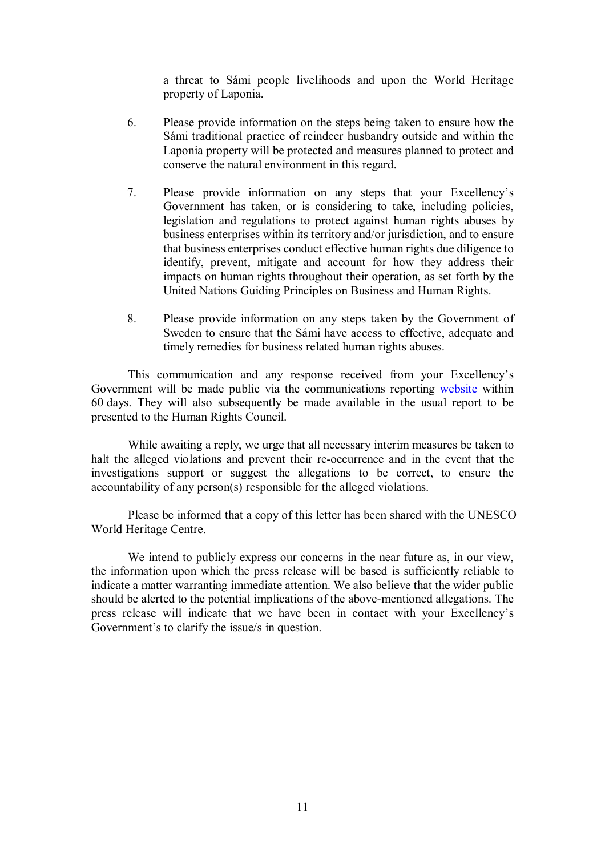a threat to Sámi people livelihoods and upon the World Heritage property of Laponia.

- 6. Please provide information on the steps being taken to ensure how the Sámi traditional practice of reindeer husbandry outside and within the Laponia property will be protected and measures planned to protect and conserve the natural environment in this regard.
- 7. Please provide information on any steps that your Excellency's Government has taken, or is considering to take, including policies, legislation and regulations to protect against human rights abuses by business enterprises within its territory and/or jurisdiction, and to ensure that business enterprises conduct effective human rights due diligence to identify, prevent, mitigate and account for how they address their impacts on human rights throughout their operation, as set forth by the United Nations Guiding Principles on Business and Human Rights.
- 8. Please provide information on any steps taken by the Government of Sweden to ensure that the Sámi have access to effective, adequate and timely remedies for business related human rights abuses.

This communication and any response received from your Excellency's Government will be made public via the communications reporting website within 60 days. They will also subsequently be made available in the usual report to be presented to the Human Rights Council.

While awaiting a reply, we urge that all necessary interim measures be taken to halt the alleged violations and prevent their re-occurrence and in the event that the investigations support or suggest the allegations to be correct, to ensure the accountability of any person(s) responsible for the alleged violations.

Please be informed that a copy of this letter has been shared with the UNESCO World Heritage Centre.

We intend to publicly express our concerns in the near future as, in our view, the information upon which the press release will be based is sufficiently reliable to indicate a matter warranting immediate attention. We also believe that the wider public should be alerted to the potential implications of the above-mentioned allegations. The press release will indicate that we have been in contact with your Excellency's Government's to clarify the issue/s in question.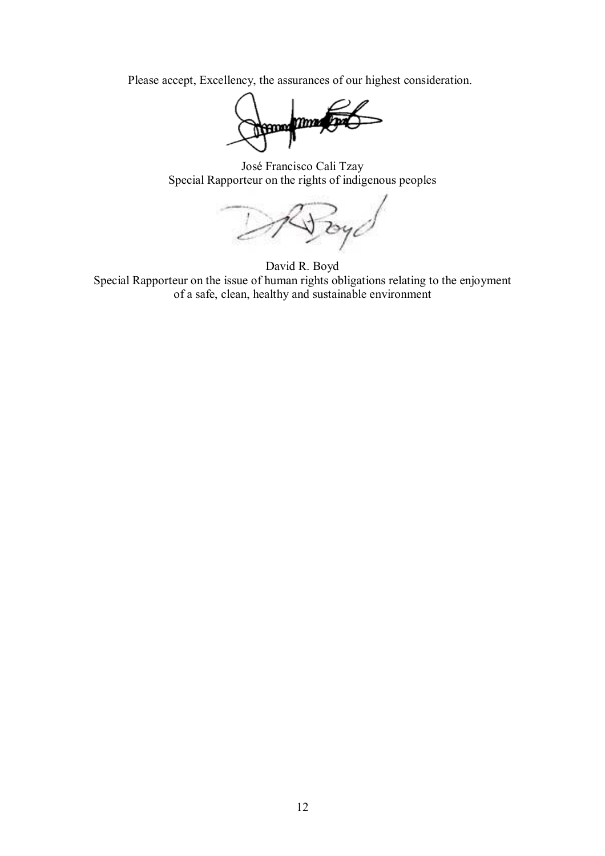Please accept, Excellency, the assurances of our highest consideration.

**Henny may** 

José Francisco Cali Tzay Special Rapporteur on the rights of indigenous peoples

 $2940$ 

David R. Boyd Special Rapporteur on the issue of human rights obligations relating to the enjoyment of a safe, clean, healthy and sustainable environment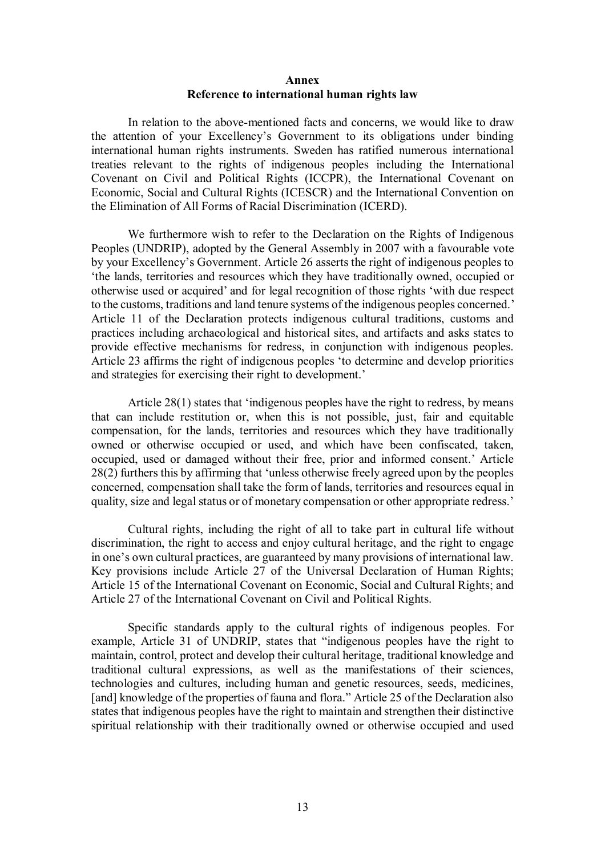## **Annex Reference to international human rights law**

In relation to the above-mentioned facts and concerns, we would like to draw the attention of your Excellency's Government to its obligations under binding international human rights instruments. Sweden has ratified numerous international treaties relevant to the rights of indigenous peoples including the International Covenant on Civil and Political Rights (ICCPR), the International Covenant on Economic, Social and Cultural Rights (ICESCR) and the International Convention on the Elimination of All Forms of Racial Discrimination (ICERD).

We furthermore wish to refer to the Declaration on the Rights of Indigenous Peoples (UNDRIP), adopted by the General Assembly in 2007 with a favourable vote by your Excellency's Government. Article 26 asserts the right of indigenous peoples to 'the lands, territories and resources which they have traditionally owned, occupied or otherwise used or acquired' and for legal recognition of those rights 'with due respect to the customs, traditions and land tenure systems of the indigenous peoples concerned.' Article 11 of the Declaration protects indigenous cultural traditions, customs and practices including archaeological and historical sites, and artifacts and asks states to provide effective mechanisms for redress, in conjunction with indigenous peoples. Article 23 affirms the right of indigenous peoples 'to determine and develop priorities and strategies for exercising their right to development.'

Article 28(1) states that 'indigenous peoples have the right to redress, by means that can include restitution or, when this is not possible, just, fair and equitable compensation, for the lands, territories and resources which they have traditionally owned or otherwise occupied or used, and which have been confiscated, taken, occupied, used or damaged without their free, prior and informed consent.' Article 28(2) furthers this by affirming that 'unless otherwise freely agreed upon by the peoples concerned, compensation shall take the form of lands, territories and resources equal in quality, size and legal status or of monetary compensation or other appropriate redress.'

Cultural rights, including the right of all to take part in cultural life without discrimination, the right to access and enjoy cultural heritage, and the right to engage in one's own cultural practices, are guaranteed by many provisions of international law. Key provisions include Article 27 of the Universal Declaration of Human Rights; Article 15 of the International Covenant on Economic, Social and Cultural Rights; and Article 27 of the International Covenant on Civil and Political Rights.

Specific standards apply to the cultural rights of indigenous peoples. For example, Article 31 of UNDRIP, states that "indigenous peoples have the right to maintain, control, protect and develop their cultural heritage, traditional knowledge and traditional cultural expressions, as well as the manifestations of their sciences, technologies and cultures, including human and genetic resources, seeds, medicines, [and] knowledge of the properties of fauna and flora." Article 25 of the Declaration also states that indigenous peoples have the right to maintain and strengthen their distinctive spiritual relationship with their traditionally owned or otherwise occupied and used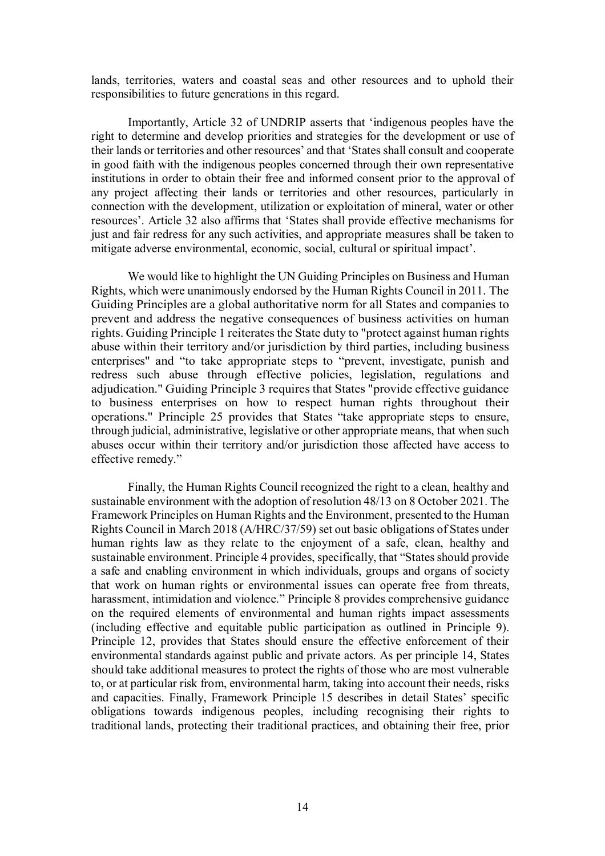lands, territories, waters and coastal seas and other resources and to uphold their responsibilities to future generations in this regard.

Importantly, Article 32 of UNDRIP asserts that 'indigenous peoples have the right to determine and develop priorities and strategies for the development or use of their lands or territories and other resources' and that 'States shall consult and cooperate in good faith with the indigenous peoples concerned through their own representative institutions in order to obtain their free and informed consent prior to the approval of any project affecting their lands or territories and other resources, particularly in connection with the development, utilization or exploitation of mineral, water or other resources'. Article 32 also affirms that 'States shall provide effective mechanisms for just and fair redress for any such activities, and appropriate measures shall be taken to mitigate adverse environmental, economic, social, cultural or spiritual impact'.

We would like to highlight the UN Guiding Principles on Business and Human Rights, which were unanimously endorsed by the Human Rights Council in 2011. The Guiding Principles are a global authoritative norm for all States and companies to prevent and address the negative consequences of business activities on human rights. Guiding Principle 1 reiterates the State duty to "protect against human rights abuse within their territory and/or jurisdiction by third parties, including business enterprises" and "to take appropriate steps to "prevent, investigate, punish and redress such abuse through effective policies, legislation, regulations and adjudication." Guiding Principle 3 requires that States "provide effective guidance to business enterprises on how to respect human rights throughout their operations." Principle 25 provides that States "take appropriate steps to ensure, through judicial, administrative, legislative or other appropriate means, that when such abuses occur within their territory and/or jurisdiction those affected have access to effective remedy."

Finally, the Human Rights Council recognized the right to a clean, healthy and sustainable environment with the adoption of resolution 48/13 on 8 October 2021. The Framework Principles on Human Rights and the Environment, presented to the Human Rights Council in March 2018 (A/HRC/37/59) set out basic obligations of States under human rights law as they relate to the enjoyment of a safe, clean, healthy and sustainable environment. Principle 4 provides, specifically, that "States should provide a safe and enabling environment in which individuals, groups and organs of society that work on human rights or environmental issues can operate free from threats, harassment, intimidation and violence." Principle 8 provides comprehensive guidance on the required elements of environmental and human rights impact assessments (including effective and equitable public participation as outlined in Principle 9). Principle 12, provides that States should ensure the effective enforcement of their environmental standards against public and private actors. As per principle 14, States should take additional measures to protect the rights of those who are most vulnerable to, or at particular risk from, environmental harm, taking into account their needs, risks and capacities. Finally, Framework Principle 15 describes in detail States' specific obligations towards indigenous peoples, including recognising their rights to traditional lands, protecting their traditional practices, and obtaining their free, prior